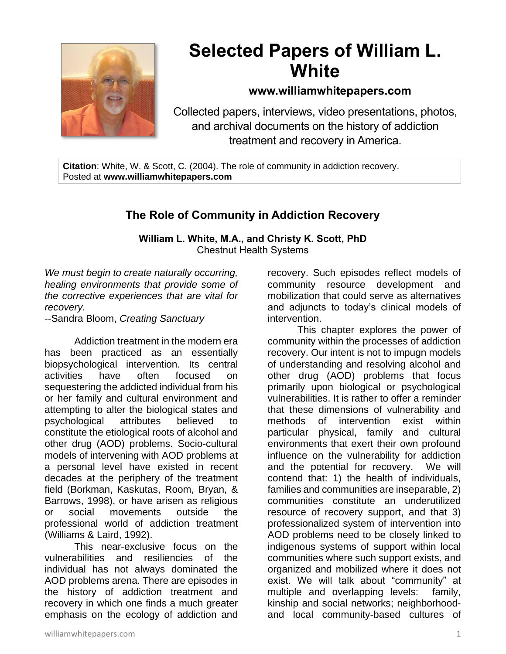

# **Selected Papers of William L. White**

# **www.williamwhitepapers.com**

Collected papers, interviews, video presentations, photos, and archival documents on the history of addiction treatment and recovery in America.

**Citation**: White, W. & Scott, C. (2004). The role of community in addiction recovery. Posted at **www.williamwhitepapers.com**

# **The Role of Community in Addiction Recovery**

**William L. White, M.A., and Christy K. Scott, PhD** Chestnut Health Systems

*We must begin to create naturally occurring, healing environments that provide some of the corrective experiences that are vital for recovery.*

--Sandra Bloom, *Creating Sanctuary*

Addiction treatment in the modern era has been practiced as an essentially biopsychological intervention. Its central activities have often focused on sequestering the addicted individual from his or her family and cultural environment and attempting to alter the biological states and psychological attributes believed to constitute the etiological roots of alcohol and other drug (AOD) problems. Socio-cultural models of intervening with AOD problems at a personal level have existed in recent decades at the periphery of the treatment field (Borkman, Kaskutas, Room, Bryan, & Barrows, 1998), or have arisen as religious or social movements outside the professional world of addiction treatment (Williams & Laird, 1992).

This near-exclusive focus on the vulnerabilities and resiliencies of the individual has not always dominated the AOD problems arena. There are episodes in the history of addiction treatment and recovery in which one finds a much greater emphasis on the ecology of addiction and recovery. Such episodes reflect models of community resource development and mobilization that could serve as alternatives and adjuncts to today's clinical models of intervention.

This chapter explores the power of community within the processes of addiction recovery. Our intent is not to impugn models of understanding and resolving alcohol and other drug (AOD) problems that focus primarily upon biological or psychological vulnerabilities. It is rather to offer a reminder that these dimensions of vulnerability and methods of intervention exist within particular physical, family and cultural environments that exert their own profound influence on the vulnerability for addiction and the potential for recovery. We will contend that: 1) the health of individuals, families and communities are inseparable, 2) communities constitute an underutilized resource of recovery support, and that 3) professionalized system of intervention into AOD problems need to be closely linked to indigenous systems of support within local communities where such support exists, and organized and mobilized where it does not exist. We will talk about "community" at multiple and overlapping levels: family, kinship and social networks; neighborhoodand local community-based cultures of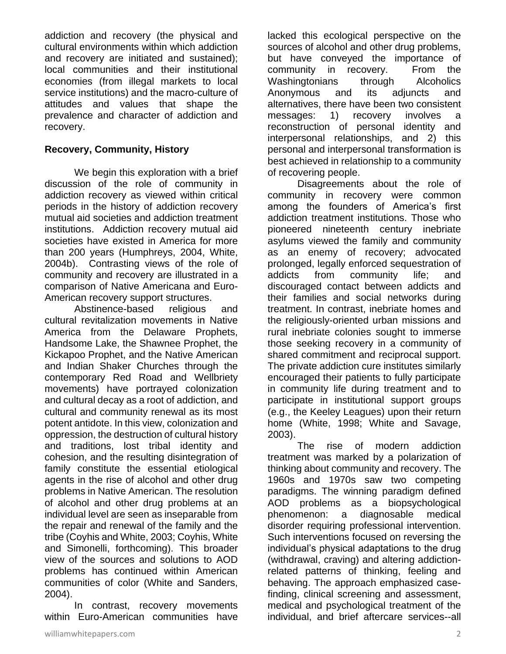addiction and recovery (the physical and cultural environments within which addiction and recovery are initiated and sustained); local communities and their institutional economies (from illegal markets to local service institutions) and the macro-culture of attitudes and values that shape the prevalence and character of addiction and recovery.

## **Recovery, Community, History**

We begin this exploration with a brief discussion of the role of community in addiction recovery as viewed within critical periods in the history of addiction recovery mutual aid societies and addiction treatment institutions. Addiction recovery mutual aid societies have existed in America for more than 200 years (Humphreys, 2004, White, 2004b). Contrasting views of the role of community and recovery are illustrated in a comparison of Native Americana and Euro-American recovery support structures.

Abstinence-based religious and cultural revitalization movements in Native America from the Delaware Prophets, Handsome Lake, the Shawnee Prophet, the Kickapoo Prophet, and the Native American and Indian Shaker Churches through the contemporary Red Road and Wellbriety movements) have portrayed colonization and cultural decay as a root of addiction, and cultural and community renewal as its most potent antidote. In this view, colonization and oppression, the destruction of cultural history and traditions, lost tribal identity and cohesion, and the resulting disintegration of family constitute the essential etiological agents in the rise of alcohol and other drug problems in Native American. The resolution of alcohol and other drug problems at an individual level are seen as inseparable from the repair and renewal of the family and the tribe (Coyhis and White, 2003; Coyhis, White and Simonelli, forthcoming). This broader view of the sources and solutions to AOD problems has continued within American communities of color (White and Sanders, 2004).

In contrast, recovery movements within Euro-American communities have lacked this ecological perspective on the sources of alcohol and other drug problems, but have conveyed the importance of community in recovery. From the Washingtonians through Alcoholics Anonymous and its adjuncts and alternatives, there have been two consistent messages: 1) recovery involves a reconstruction of personal identity and interpersonal relationships, and 2) this personal and interpersonal transformation is best achieved in relationship to a community of recovering people.

Disagreements about the role of community in recovery were common among the founders of America's first addiction treatment institutions. Those who pioneered nineteenth century inebriate asylums viewed the family and community as an enemy of recovery; advocated prolonged, legally enforced sequestration of addicts from community life; and discouraged contact between addicts and their families and social networks during treatment. In contrast, inebriate homes and the religiously-oriented urban missions and rural inebriate colonies sought to immerse those seeking recovery in a community of shared commitment and reciprocal support. The private addiction cure institutes similarly encouraged their patients to fully participate in community life during treatment and to participate in institutional support groups (e.g., the Keeley Leagues) upon their return home (White, 1998; White and Savage, 2003).

The rise of modern addiction treatment was marked by a polarization of thinking about community and recovery. The 1960s and 1970s saw two competing paradigms. The winning paradigm defined AOD problems as a biopsychological phenomenon: a diagnosable medical disorder requiring professional intervention. Such interventions focused on reversing the individual's physical adaptations to the drug (withdrawal, craving) and altering addictionrelated patterns of thinking, feeling and behaving. The approach emphasized casefinding, clinical screening and assessment, medical and psychological treatment of the individual, and brief aftercare services--all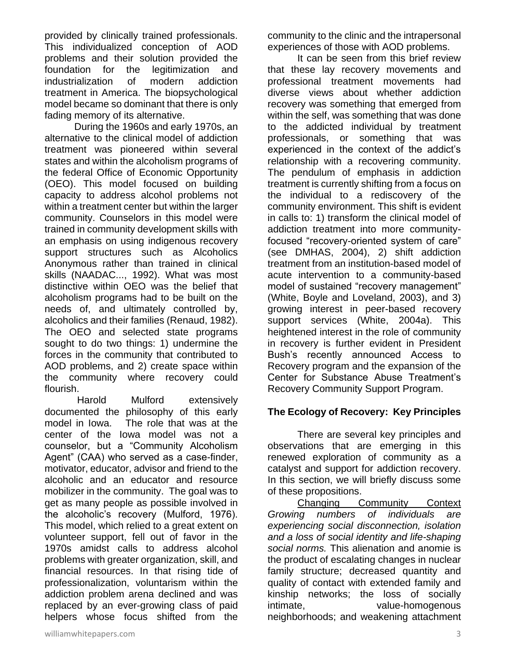provided by clinically trained professionals. This individualized conception of AOD problems and their solution provided the foundation for the legitimization and industrialization of modern addiction treatment in America. The biopsychological model became so dominant that there is only fading memory of its alternative.

During the 1960s and early 1970s, an alternative to the clinical model of addiction treatment was pioneered within several states and within the alcoholism programs of the federal Office of Economic Opportunity (OEO). This model focused on building capacity to address alcohol problems not within a treatment center but within the larger community. Counselors in this model were trained in community development skills with an emphasis on using indigenous recovery support structures such as Alcoholics Anonymous rather than trained in clinical skills (NAADAC..., 1992). What was most distinctive within OEO was the belief that alcoholism programs had to be built on the needs of, and ultimately controlled by, alcoholics and their families (Renaud, 1982). The OEO and selected state programs sought to do two things: 1) undermine the forces in the community that contributed to AOD problems, and 2) create space within the community where recovery could flourish.

Harold Mulford extensively documented the philosophy of this early model in Iowa. The role that was at the center of the Iowa model was not a counselor, but a "Community Alcoholism Agent" (CAA) who served as a case-finder, motivator, educator, advisor and friend to the alcoholic and an educator and resource mobilizer in the community. The goal was to get as many people as possible involved in the alcoholic's recovery (Mulford, 1976). This model, which relied to a great extent on volunteer support, fell out of favor in the 1970s amidst calls to address alcohol problems with greater organization, skill, and financial resources. In that rising tide of professionalization, voluntarism within the addiction problem arena declined and was replaced by an ever-growing class of paid helpers whose focus shifted from the

It can be seen from this brief review that these lay recovery movements and professional treatment movements had diverse views about whether addiction recovery was something that emerged from within the self, was something that was done to the addicted individual by treatment professionals, or something that was experienced in the context of the addict's relationship with a recovering community. The pendulum of emphasis in addiction treatment is currently shifting from a focus on the individual to a rediscovery of the community environment. This shift is evident in calls to: 1) transform the clinical model of addiction treatment into more communityfocused "recovery-oriented system of care" (see DMHAS, 2004), 2) shift addiction treatment from an institution-based model of acute intervention to a community-based model of sustained "recovery management" (White, Boyle and Loveland, 2003), and 3) growing interest in peer-based recovery support services (White, 2004a). This heightened interest in the role of community in recovery is further evident in President Bush's recently announced Access to Recovery program and the expansion of the Center for Substance Abuse Treatment's Recovery Community Support Program.

### **The Ecology of Recovery: Key Principles**

There are several key principles and observations that are emerging in this renewed exploration of community as a catalyst and support for addiction recovery. In this section, we will briefly discuss some of these propositions.

Changing Community Context *Growing numbers of individuals are experiencing social disconnection, isolation and a loss of social identity and life-shaping social norms.* This alienation and anomie is the product of escalating changes in nuclear family structure; decreased quantity and quality of contact with extended family and kinship networks; the loss of socially intimate, value-homogenous neighborhoods; and weakening attachment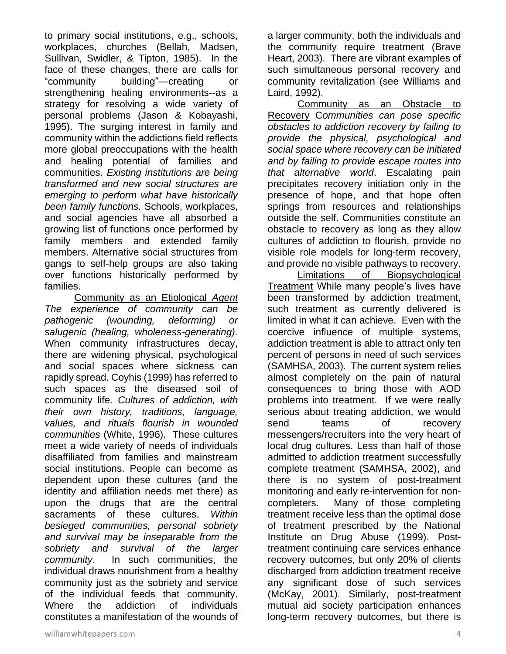to primary social institutions, e.g., schools, workplaces, churches (Bellah, Madsen, Sullivan, Swidler, & Tipton, 1985). In the face of these changes, there are calls for "community building"—creating or strengthening healing environments--as a strategy for resolving a wide variety of personal problems (Jason & Kobayashi, 1995). The surging interest in family and community within the addictions field reflects more global preoccupations with the health and healing potential of families and communities. *Existing institutions are being transformed and new social structures are emerging to perform what have historically been family functions.* Schools, workplaces, and social agencies have all absorbed a growing list of functions once performed by family members and extended family members. Alternative social structures from gangs to self-help groups are also taking over functions historically performed by families.

Community as an Etiological *Agent The experience of community can be pathogenic (wounding, deforming) or salugenic (healing, wholeness-generating).* When community infrastructures decay, there are widening physical, psychological and social spaces where sickness can rapidly spread. Coyhis (1999) has referred to such spaces as the diseased soil of community life. *Cultures of addiction, with their own history, traditions, language, values, and rituals flourish in wounded communities* (White, 1996). These cultures meet a wide variety of needs of individuals disaffiliated from families and mainstream social institutions. People can become as dependent upon these cultures (and the identity and affiliation needs met there) as upon the drugs that are the central sacraments of these cultures. *Within besieged communities, personal sobriety and survival may be inseparable from the sobriety and survival of the larger community*. In such communities, the individual draws nourishment from a healthy community just as the sobriety and service of the individual feeds that community. Where the addiction of individuals constitutes a manifestation of the wounds of

Community as an Obstacle to Recovery C*ommunities can pose specific obstacles to addiction recovery by failing to provide the physical, psychological and social space where recovery can be initiated and by failing to provide escape routes into that alternative world*. Escalating pain precipitates recovery initiation only in the presence of hope, and that hope often springs from resources and relationships outside the self. Communities constitute an obstacle to recovery as long as they allow cultures of addiction to flourish, provide no visible role models for long-term recovery, and provide no visible pathways to recovery.

Limitations of Biopsychological Treatment While many people's lives have been transformed by addiction treatment, such treatment as currently delivered is limited in what it can achieve. Even with the coercive influence of multiple systems, addiction treatment is able to attract only ten percent of persons in need of such services (SAMHSA, 2003). The current system relies almost completely on the pain of natural consequences to bring those with AOD problems into treatment. If we were really serious about treating addiction, we would send teams of recovery messengers/recruiters into the very heart of local drug cultures. Less than half of those admitted to addiction treatment successfully complete treatment (SAMHSA, 2002), and there is no system of post-treatment monitoring and early re-intervention for noncompleters. Many of those completing treatment receive less than the optimal dose of treatment prescribed by the National Institute on Drug Abuse (1999). Posttreatment continuing care services enhance recovery outcomes, but only 20% of clients discharged from addiction treatment receive any significant dose of such services (McKay, 2001). Similarly, post-treatment mutual aid society participation enhances long-term recovery outcomes, but there is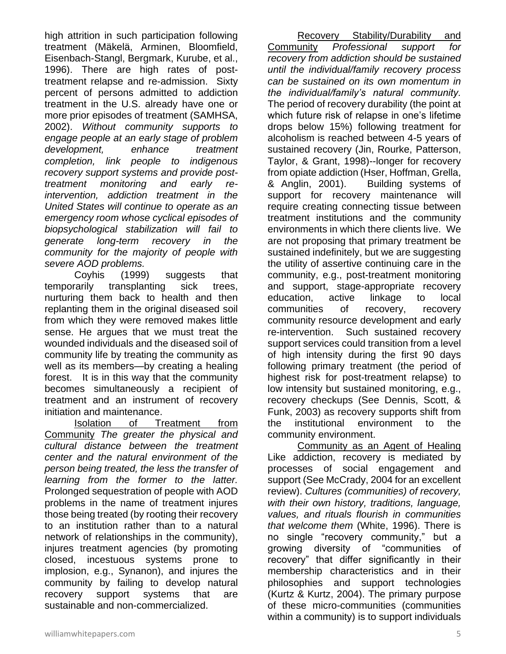high attrition in such participation following treatment (Mäkelä, Arminen, Bloomfield, Eisenbach-Stangl, Bergmark, Kurube, et al., 1996). There are high rates of posttreatment relapse and re-admission. Sixty percent of persons admitted to addiction treatment in the U.S. already have one or more prior episodes of treatment (SAMHSA, 2002). *Without community supports to engage people at an early stage of problem development, enhance treatment completion, link people to indigenous recovery support systems and provide posttreatment monitoring and early reintervention, addiction treatment in the United States will continue to operate as an emergency room whose cyclical episodes of biopsychological stabilization will fail to generate long-term recovery in the community for the majority of people with severe AOD problems.*

Coyhis (1999) suggests that temporarily transplanting sick trees, nurturing them back to health and then replanting them in the original diseased soil from which they were removed makes little sense. He argues that we must treat the wounded individuals and the diseased soil of community life by treating the community as well as its members—by creating a healing forest. It is in this way that the community becomes simultaneously a recipient of treatment and an instrument of recovery initiation and maintenance.

Isolation of Treatment from Community *The greater the physical and cultural distance between the treatment center and the natural environment of the person being treated, the less the transfer of learning from the former to the latter.*  Prolonged sequestration of people with AOD problems in the name of treatment injures those being treated (by rooting their recovery to an institution rather than to a natural network of relationships in the community), injures treatment agencies (by promoting closed, incestuous systems prone to implosion, e.g., Synanon), and injures the community by failing to develop natural recovery support systems that are sustainable and non-commercialized.

Community *Professional support for recovery from addiction should be sustained until the individual/family recovery process can be sustained on its own momentum in the individual/family's natural community.* The period of recovery durability (the point at which future risk of relapse in one's lifetime drops below 15%) following treatment for alcoholism is reached between 4-5 years of sustained recovery (Jin, Rourke, Patterson, Taylor, & Grant, 1998)--longer for recovery from opiate addiction (Hser, Hoffman, Grella, & Anglin, 2001). Building systems of support for recovery maintenance will require creating connecting tissue between treatment institutions and the community environments in which there clients live. We are not proposing that primary treatment be sustained indefinitely, but we are suggesting the utility of assertive continuing care in the community, e.g., post-treatment monitoring and support, stage-appropriate recovery education, active linkage to local communities of recovery, recovery community resource development and early re-intervention. Such sustained recovery support services could transition from a level of high intensity during the first 90 days following primary treatment (the period of highest risk for post-treatment relapse) to low intensity but sustained monitoring, e.g., recovery checkups (See Dennis, Scott, & Funk, 2003) as recovery supports shift from the institutional environment to the community environment. Community as an Agent of Healing

Recovery Stability/Durability and

Like addiction, recovery is mediated by processes of social engagement and support (See McCrady, 2004 for an excellent review). *Cultures (communities) of recovery, with their own history, traditions, language, values, and rituals flourish in communities that welcome them* (White, 1996). There is no single "recovery community," but a growing diversity of "communities of recovery" that differ significantly in their membership characteristics and in their philosophies and support technologies (Kurtz & Kurtz, 2004). The primary purpose of these micro-communities (communities within a community) is to support individuals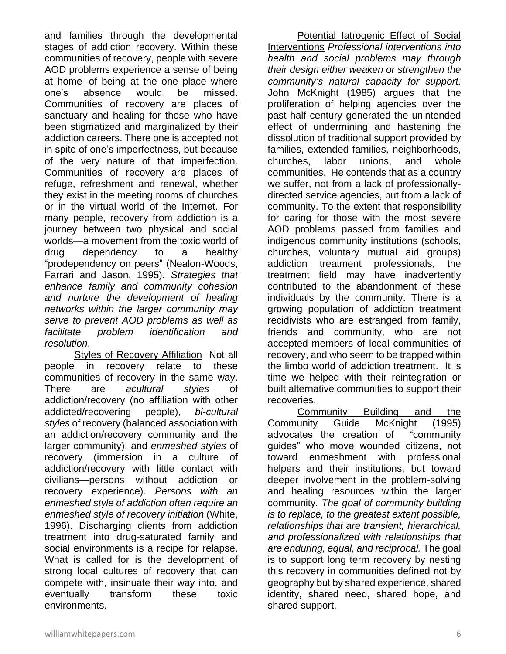and families through the developmental stages of addiction recovery. Within these communities of recovery, people with severe AOD problems experience a sense of being at home*--*of being at the one place where one's absence would be missed. Communities of recovery are places of sanctuary and healing for those who have been stigmatized and marginalized by their addiction careers. There one is accepted not in spite of one's imperfectness, but because of the very nature of that imperfection. Communities of recovery are places of refuge, refreshment and renewal, whether they exist in the meeting rooms of churches or in the virtual world of the Internet. For many people, recovery from addiction is a journey between two physical and social worlds—a movement from the toxic world of drug dependency to a healthy "prodependency on peers" (Nealon-Woods, Farrari and Jason, 1995). *Strategies that enhance family and community cohesion and nurture the development of healing networks within the larger community may serve to prevent AOD problems as well as facilitate problem identification and resolution*.

Styles of Recovery Affiliation Not all people in recovery relate to these communities of recovery in the same way. There are *acultural styles* of addiction/recovery (no affiliation with other addicted/recovering people), *bi-cultural styles* of recovery (balanced association with an addiction/recovery community and the larger community), and *enmeshed styles* of recovery (immersion in a culture of addiction/recovery with little contact with civilians—persons without addiction or recovery experience). *Persons with an enmeshed style of addiction often require an enmeshed style of recovery initiation* (White, 1996). Discharging clients from addiction treatment into drug-saturated family and social environments is a recipe for relapse. What is called for is the development of strong local cultures of recovery that can compete with, insinuate their way into, and eventually transform these toxic environments.

Potential latrogenic Effect of Social Interventions *Professional interventions into health and social problems may through their design either weaken or strengthen the community's natural capacity for support.*  John McKnight (1985) argues that the proliferation of helping agencies over the past half century generated the unintended effect of undermining and hastening the dissolution of traditional support provided by families, extended families, neighborhoods, churches, labor unions, and whole communities. He contends that as a country we suffer, not from a lack of professionallydirected service agencies, but from a lack of community. To the extent that responsibility for caring for those with the most severe AOD problems passed from families and indigenous community institutions (schools, churches, voluntary mutual aid groups) addiction treatment professionals, the treatment field may have inadvertently contributed to the abandonment of these individuals by the community. There is a growing population of addiction treatment recidivists who are estranged from family, friends and community, who are not accepted members of local communities of recovery, and who seem to be trapped within the limbo world of addiction treatment. It is time we helped with their reintegration or built alternative communities to support their recoveries.

Community Building and the Community Guide McKnight (1995) advocates the creation of "community guides" who move wounded citizens, not toward enmeshment with professional helpers and their institutions, but toward deeper involvement in the problem-solving and healing resources within the larger community*. The goal of community building is to replace, to the greatest extent possible, relationships that are transient, hierarchical, and professionalized with relationships that are enduring, equal, and reciprocal.* The goal is to support long term recovery by nesting this recovery in communities defined not by geography but by shared experience, shared identity, shared need, shared hope, and shared support.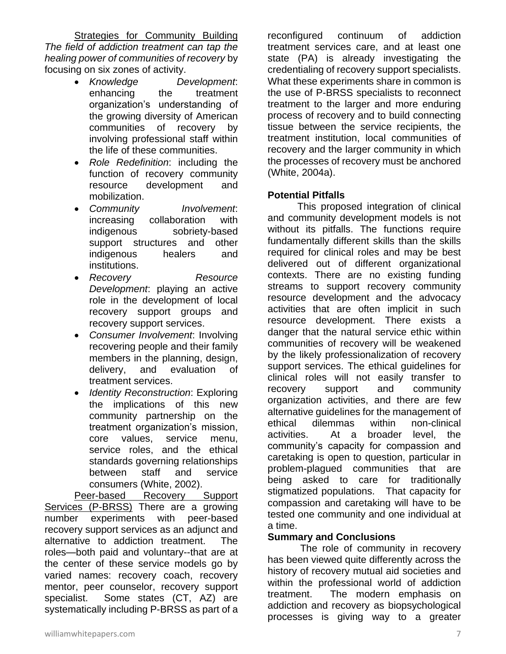**Strategies for Community Building** *The field of addiction treatment can tap the healing power of communities of recovery* by focusing on six zones of activity.

- *Knowledge Development*: enhancing the treatment organization's understanding of the growing diversity of American communities of recovery by involving professional staff within the life of these communities.
- *Role Redefinition*: including the function of recovery community resource development and mobilization.
- *Community Involvement*: increasing collaboration with indigenous sobriety-based support structures and other indigenous healers and institutions.
- *Recovery Resource Development*: playing an active role in the development of local recovery support groups and recovery support services.
- *Consumer Involvement*: Involving recovering people and their family members in the planning, design, delivery, and evaluation of treatment services.
- *Identity Reconstruction*: Exploring the implications of this new community partnership on the treatment organization's mission, core values, service menu, service roles, and the ethical standards governing relationships between staff and service consumers (White, 2002).

Peer-based Recovery Support Services (P-BRSS) There are a growing number experiments with peer-based recovery support services as an adjunct and alternative to addiction treatment. The roles—both paid and voluntary--that are at the center of these service models go by varied names: recovery coach, recovery mentor, peer counselor, recovery support specialist. Some states (CT, AZ) are systematically including P-BRSS as part of a reconfigured continuum of addiction treatment services care, and at least one state (PA) is already investigating the credentialing of recovery support specialists. What these experiments share in common is the use of P-BRSS specialists to reconnect treatment to the larger and more enduring process of recovery and to build connecting tissue between the service recipients, the treatment institution, local communities of recovery and the larger community in which the processes of recovery must be anchored (White, 2004a).

#### **Potential Pitfalls**

This proposed integration of clinical and community development models is not without its pitfalls. The functions require fundamentally different skills than the skills required for clinical roles and may be best delivered out of different organizational contexts. There are no existing funding streams to support recovery community resource development and the advocacy activities that are often implicit in such resource development. There exists a danger that the natural service ethic within communities of recovery will be weakened by the likely professionalization of recovery support services. The ethical guidelines for clinical roles will not easily transfer to recovery support and community organization activities, and there are few alternative guidelines for the management of ethical dilemmas within non-clinical activities. At a broader level, the community's capacity for compassion and caretaking is open to question, particular in problem-plagued communities that are being asked to care for traditionally stigmatized populations. That capacity for compassion and caretaking will have to be tested one community and one individual at a time.

#### **Summary and Conclusions**

The role of community in recovery has been viewed quite differently across the history of recovery mutual aid societies and within the professional world of addiction treatment. The modern emphasis on addiction and recovery as biopsychological processes is giving way to a greater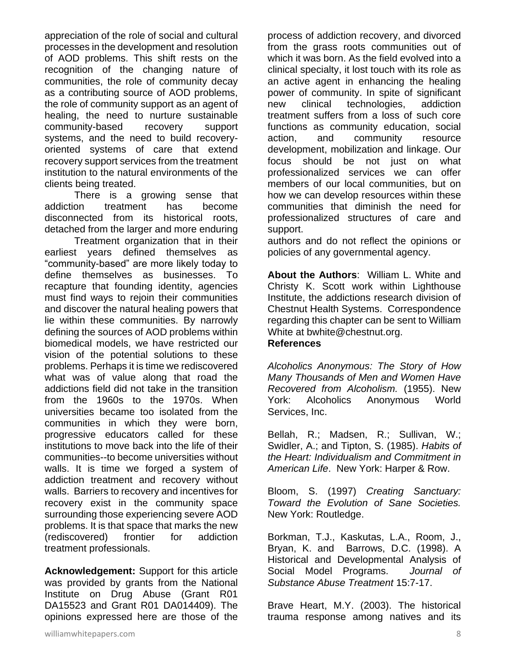appreciation of the role of social and cultural processes in the development and resolution of AOD problems. This shift rests on the recognition of the changing nature of communities, the role of community decay as a contributing source of AOD problems, the role of community support as an agent of healing, the need to nurture sustainable community-based recovery support systems, and the need to build recoveryoriented systems of care that extend recovery support services from the treatment institution to the natural environments of the clients being treated.

There is a growing sense that addiction treatment has become disconnected from its historical roots, detached from the larger and more enduring

Treatment organization that in their earliest years defined themselves as "community-based" are more likely today to define themselves as businesses. To recapture that founding identity, agencies must find ways to rejoin their communities and discover the natural healing powers that lie within these communities. By narrowly defining the sources of AOD problems within biomedical models, we have restricted our vision of the potential solutions to these problems. Perhaps it is time we rediscovered what was of value along that road the addictions field did not take in the transition from the 1960s to the 1970s. When universities became too isolated from the communities in which they were born, progressive educators called for these institutions to move back into the life of their communities--to become universities without walls. It is time we forged a system of addiction treatment and recovery without walls. Barriers to recovery and incentives for recovery exist in the community space surrounding those experiencing severe AOD problems. It is that space that marks the new (rediscovered) frontier for addiction treatment professionals.

**Acknowledgement:** Support for this article was provided by grants from the National Institute on Drug Abuse (Grant R01 DA15523 and Grant R01 DA014409). The opinions expressed here are those of the process of addiction recovery, and divorced from the grass roots communities out of which it was born. As the field evolved into a clinical specialty, it lost touch with its role as an active agent in enhancing the healing power of community. In spite of significant new clinical technologies, addiction treatment suffers from a loss of such core functions as community education, social action, and community resource development, mobilization and linkage. Our focus should be not just on what professionalized services we can offer members of our local communities, but on how we can develop resources within these communities that diminish the need for professionalized structures of care and support.

authors and do not reflect the opinions or policies of any governmental agency.

**About the Authors**: William L. White and Christy K. Scott work within Lighthouse Institute, the addictions research division of Chestnut Health Systems. Correspondence regarding this chapter can be sent to William White at bwhite@chestnut.org.

#### **References**

*Alcoholics Anonymous: The Story of How Many Thousands of Men and Women Have Recovered from Alcoholism.* (1955). New York: Alcoholics Anonymous World Services, Inc.

Bellah, R.; Madsen, R.; Sullivan, W.; Swidler, A.; and Tipton, S. (1985). *Habits of the Heart: Individualism and Commitment in American Life*. New York: Harper & Row.

Bloom, S. (1997) *Creating Sanctuary: Toward the Evolution of Sane Societies.* New York: Routledge.

Borkman, T.J., Kaskutas, L.A., Room, J., Bryan, K. and Barrows, D.C. (1998). A Historical and Developmental Analysis of Social Model Programs. *Journal of Substance Abuse Treatment* 15:7-17.

Brave Heart, M.Y. (2003). The historical trauma response among natives and its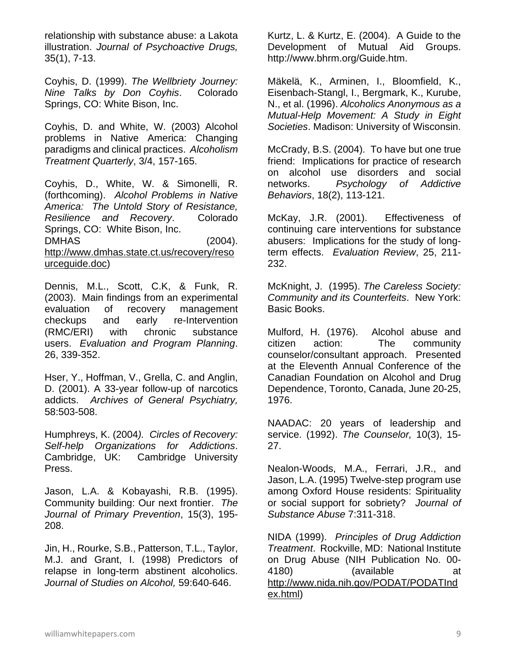relationship with substance abuse: a Lakota illustration. *Journal of Psychoactive Drugs,* 35(1), 7-13.

Coyhis, D. (1999). *The Wellbriety Journey: Nine Talks by Don Coyhis*. Colorado Springs, CO: White Bison, Inc.

Coyhis, D. and White, W. (2003) Alcohol problems in Native America: Changing paradigms and clinical practices. *Alcoholism Treatment Quarterly*, 3/4, 157-165.

Coyhis, D., White, W. & Simonelli, R. (forthcoming). *Alcohol Problems in Native America: The Untold Story of Resistance, Resilience and Recovery*. Colorado Springs, CO: White Bison, Inc. DMHAS (2004). [http://www.dmhas.state.ct.us/recovery/reso](http://www.dmhas.state.ct.us/recovery/resourceguide.doc) [urceguide.doc\)](http://www.dmhas.state.ct.us/recovery/resourceguide.doc)

Dennis, M.L., Scott, C.K, & Funk, R. (2003). Main findings from an experimental evaluation of recovery management checkups and early re-Intervention (RMC/ERI) with chronic substance users. *Evaluation and Program Planning*. 26, 339-352.

Hser, Y., Hoffman, V., Grella, C. and Anglin, D. (2001). A 33-year follow-up of narcotics addicts. *Archives of General Psychiatry,* 58:503-508.

Humphreys, K. (2004*). Circles of Recovery: Self-help Organizations for Addictions*. Cambridge, UK: Cambridge University Press.

Jason, L.A. & Kobayashi, R.B. (1995). Community building: Our next frontier. *The Journal of Primary Prevention*, 15(3), 195- 208.

Jin, H., Rourke, S.B., Patterson, T.L., Taylor, M.J. and Grant, I. (1998) Predictors of relapse in long-term abstinent alcoholics. *Journal of Studies on Alcohol,* 59:640-646.

Kurtz, L. & Kurtz, E. (2004). A Guide to the Development of Mutual Aid Groups. http://www.bhrm.org/Guide.htm.

Mäkelä, K., Arminen, I., Bloomfield, K., Eisenbach-Stangl, I., Bergmark, K., Kurube, N., et al. (1996). *Alcoholics Anonymous as a Mutual-Help Movement: A Study in Eight Societies*. Madison: University of Wisconsin.

McCrady, B.S. (2004). To have but one true friend: Implications for practice of research on alcohol use disorders and social networks. *Psychology of Addictive Behaviors*, 18(2), 113-121.

McKay, J.R. (2001). Effectiveness of continuing care interventions for substance abusers: Implications for the study of longterm effects. *Evaluation Review*, 25, 211- 232.

McKnight, J. (1995). *The Careless Society: Community and its Counterfeits*. New York: Basic Books.

Mulford, H. (1976). Alcohol abuse and citizen action: The community counselor/consultant approach. Presented at the Eleventh Annual Conference of the Canadian Foundation on Alcohol and Drug Dependence, Toronto, Canada, June 20-25, 1976.

NAADAC: 20 years of leadership and service. (1992). *The Counselor,* 10(3), 15- 27.

Nealon-Woods, M.A., Ferrari, J.R., and Jason, L.A. (1995) Twelve-step program use among Oxford House residents: Spirituality or social support for sobriety? *Journal of Substance Abuse* 7:311-318.

NIDA (1999). *Principles of Drug Addiction Treatment*. Rockville, MD: National Institute on Drug Abuse (NIH Publication No. 00- 4180) (available at [http://www.nida.nih.gov/PODAT/PODATInd](http://www.nida.nih.gov/PODAT/PODATIndex.html) [ex.html\)](http://www.nida.nih.gov/PODAT/PODATIndex.html)